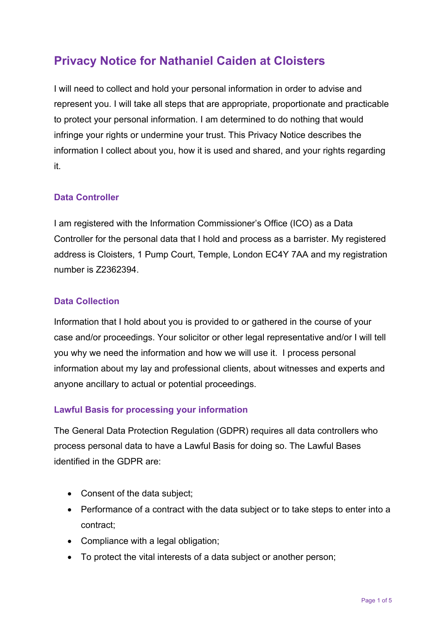# **Privacy Notice for Nathaniel Caiden at Cloisters**

I will need to collect and hold your personal information in order to advise and represent you. I will take all steps that are appropriate, proportionate and practicable to protect your personal information. I am determined to do nothing that would infringe your rights or undermine your trust. This Privacy Notice describes the information I collect about you, how it is used and shared, and your rights regarding it.

#### **Data Controller**

I am registered with the Information Commissioner's Office (ICO) as a Data Controller for the personal data that I hold and process as a barrister. My registered address is Cloisters, 1 Pump Court, Temple, London EC4Y 7AA and my registration number is Z2362394.

#### **Data Collection**

Information that I hold about you is provided to or gathered in the course of your case and/or proceedings. Your solicitor or other legal representative and/or I will tell you why we need the information and how we will use it. I process personal information about my lay and professional clients, about witnesses and experts and anyone ancillary to actual or potential proceedings.

#### **Lawful Basis for processing your information**

The General Data Protection Regulation (GDPR) requires all data controllers who process personal data to have a Lawful Basis for doing so. The Lawful Bases identified in the GDPR are:

- Consent of the data subject;
- Performance of a contract with the data subject or to take steps to enter into a contract;
- Compliance with a legal obligation;
- To protect the vital interests of a data subject or another person;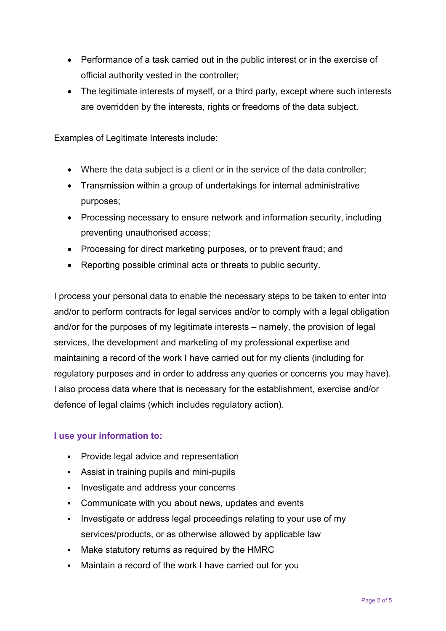- Performance of a task carried out in the public interest or in the exercise of official authority vested in the controller;
- The legitimate interests of myself, or a third party, except where such interests are overridden by the interests, rights or freedoms of the data subject.

Examples of Legitimate Interests include:

- Where the data subject is a client or in the service of the data controller;
- Transmission within a group of undertakings for internal administrative purposes;
- Processing necessary to ensure network and information security, including preventing unauthorised access;
- Processing for direct marketing purposes, or to prevent fraud; and
- Reporting possible criminal acts or threats to public security.

I process your personal data to enable the necessary steps to be taken to enter into and/or to perform contracts for legal services and/or to comply with a legal obligation and/or for the purposes of my legitimate interests – namely, the provision of legal services, the development and marketing of my professional expertise and maintaining a record of the work I have carried out for my clients (including for regulatory purposes and in order to address any queries or concerns you may have). I also process data where that is necessary for the establishment, exercise and/or defence of legal claims (which includes regulatory action).

#### **I use your information to:**

- **Provide legal advice and representation**
- Assist in training pupils and mini-pupils
- **Investigate and address your concerns**
- Communicate with you about news, updates and events
- Investigate or address legal proceedings relating to your use of my services/products, or as otherwise allowed by applicable law
- Make statutory returns as required by the HMRC
- Maintain a record of the work I have carried out for you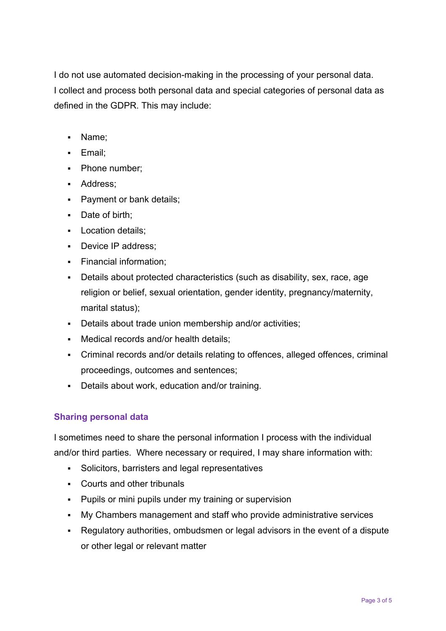I do not use automated decision-making in the processing of your personal data. I collect and process both personal data and special categories of personal data as defined in the GDPR. This may include:

- Name;
- **Email**;
- Phone number;
- Address;
- Payment or bank details;
- Date of birth;
- **Location details;**
- Device IP address:
- **Financial information;**
- Details about protected characteristics (such as disability, sex, race, age religion or belief, sexual orientation, gender identity, pregnancy/maternity, marital status);
- Details about trade union membership and/or activities;
- Medical records and/or health details:
- Criminal records and/or details relating to offences, alleged offences, criminal proceedings, outcomes and sentences;
- Details about work, education and/or training.

#### **Sharing personal data**

I sometimes need to share the personal information I process with the individual and/or third parties. Where necessary or required, I may share information with:

- Solicitors, barristers and legal representatives
- Courts and other tribunals
- **Pupils or mini pupils under my training or supervision**
- My Chambers management and staff who provide administrative services
- Regulatory authorities, ombudsmen or legal advisors in the event of a dispute or other legal or relevant matter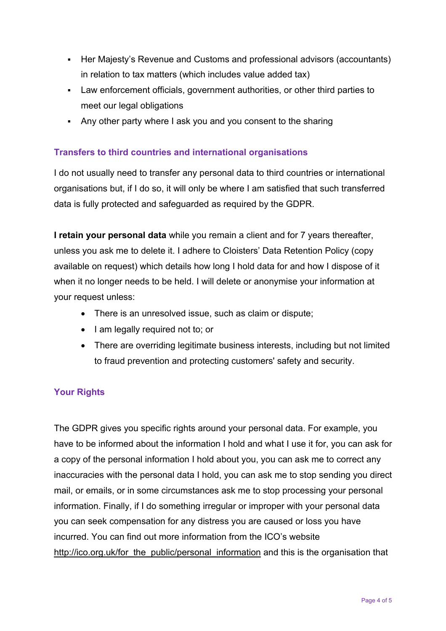- Her Majesty's Revenue and Customs and professional advisors (accountants) in relation to tax matters (which includes value added tax)
- Law enforcement officials, government authorities, or other third parties to meet our legal obligations
- Any other party where I ask you and you consent to the sharing

## **Transfers to third countries and international organisations**

I do not usually need to transfer any personal data to third countries or international organisations but, if I do so, it will only be where I am satisfied that such transferred data is fully protected and safeguarded as required by the GDPR.

**I retain your personal data** while you remain a client and for 7 years thereafter, unless you ask me to delete it. I adhere to Cloisters' Data Retention Policy (copy available on request) which details how long I hold data for and how I dispose of it when it no longer needs to be held. I will delete or anonymise your information at your request unless:

- There is an unresolved issue, such as claim or dispute;
- I am legally required not to; or
- There are overriding legitimate business interests, including but not limited to fraud prevention and protecting customers' safety and security.

## **Your Rights**

The GDPR gives you specific rights around your personal data. For example, you have to be informed about the information I hold and what I use it for, you can ask for a copy of the personal information I hold about you, you can ask me to correct any inaccuracies with the personal data I hold, you can ask me to stop sending you direct mail, or emails, or in some circumstances ask me to stop processing your personal information. Finally, if I do something irregular or improper with your personal data you can seek compensation for any distress you are caused or loss you have incurred. You can find out more information from the ICO's website http://ico.org.uk/for\_the\_public/personal\_information and this is the organisation that